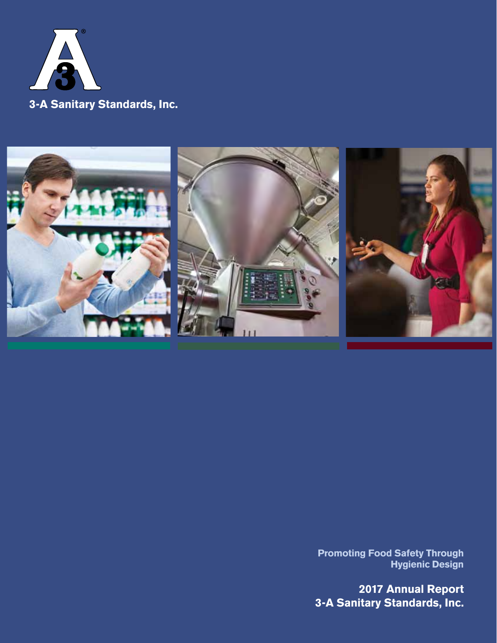



**Promoting Food Safety Through Hygienic Design**

**2017 Annual Report 3-A Sanitary Standards, Inc.**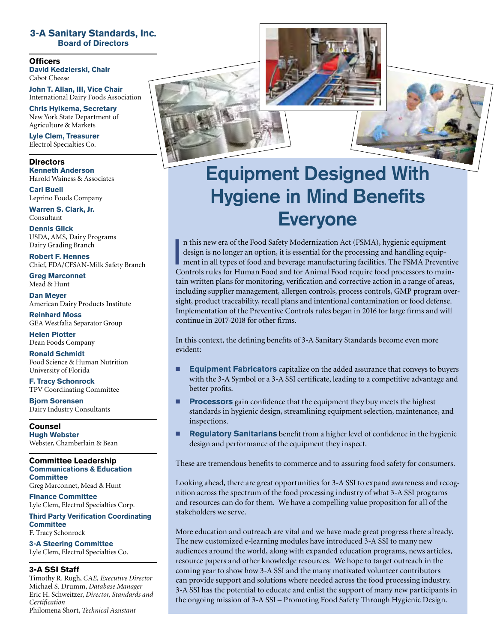#### **3-A Sanitary Standards, Inc. Board of Directors**

**Officers David Kedzierski, Chair** Cabot Cheese

**John T. Allan, III, Vice Chair** International Dairy Foods Association

**Chris Hylkema, Secretary** New York State Department of Agriculture & Markets

**Lyle Clem, Treasurer** Electrol Specialties Co.

**Directors Kenneth Anderson** Harold Wainess & Associates

**Carl Buell**  Leprino Foods Company

**Warren S. Clark, Jr.** Consultant

**Dennis Glick** USDA, AMS, Dairy Programs Dairy Grading Branch

**Robert F. Hennes** Chief, FDA/CFSAN-Milk Safety Branch

**Greg Marconnet** Mead & Hunt

**Dan Meyer** American Dairy Products Institute

**Reinhard Moss** GEA Westfalia Separator Group

**Helen Piotter** Dean Foods Company

**Ronald Schmidt** Food Science & Human Nutrition University of Florida

**F. Tracy Schonrock** TPV Coordinating Committee

**Bjorn Sorensen** Dairy Industry Consultants

**Counsel Hugh Webster** Webster, Chamberlain & Bean

#### **Committee Leadership Communications & Education Committee**

Greg Marconnet, Mead & Hunt

**Finance Committee** Lyle Clem, Electrol Specialties Corp.

**Third Party Verification Coordinating Committee** F. Tracy Schonrock

**3-A Steering Committee** Lyle Clem, Electrol Specialties Co.

#### **3-A SSI Staff**

Timothy R. Rugh, *CAE, Executive Director* Michael S. Drumm, *Database Manager* Eric H. Schweitzer, *Director, Standards and Certification* Philomena Short, *Technical Assistant*





I n this new era of the Food Safety Modernization Act (FSMA), hygienic equipment design is no longer an option, it is essential for the processing and handling equipment in all types of food and beverage manufacturing facilities. The FSMA Preventive Controls rules for Human Food and for Animal Food require food processors to maintain written plans for monitoring, verification and corrective action in a range of areas, including supplier management, allergen controls, process controls, GMP program oversight, product traceability, recall plans and intentional contamination or food defense. Implementation of the Preventive Controls rules began in 2016 for large firms and will continue in 2017-2018 for other firms.

In this context, the defining benefits of 3-A Sanitary Standards become even more evident:

- **Equipment Fabricators** capitalize on the added assurance that conveys to buyers with the 3-A Symbol or a 3-A SSI certificate, leading to a competitive advantage and better profits.
- **Processors** gain confidence that the equipment they buy meets the highest standards in hygienic design, streamlining equipment selection, maintenance, and inspections.
- **Regulatory Sanitarians** benefit from a higher level of confidence in the hygienic design and performance of the equipment they inspect.

These are tremendous benefits to commerce and to assuring food safety for consumers.

Looking ahead, there are great opportunities for 3-A SSI to expand awareness and recognition across the spectrum of the food processing industry of what 3-A SSI programs and resources can do for them. We have a compelling value proposition for all of the stakeholders we serve.

More education and outreach are vital and we have made great progress there already. The new customized e-learning modules have introduced 3-A SSI to many new audiences around the world, along with expanded education programs, news articles, resource papers and other knowledge resources. We hope to target outreach in the coming year to show how 3-A SSI and the many motivated volunteer contributors can provide support and solutions where needed across the food processing industry. 3-A SSI has the potential to educate and enlist the support of many new participants in the ongoing mission of 3-A SSI – Promoting Food Safety Through Hygienic Design.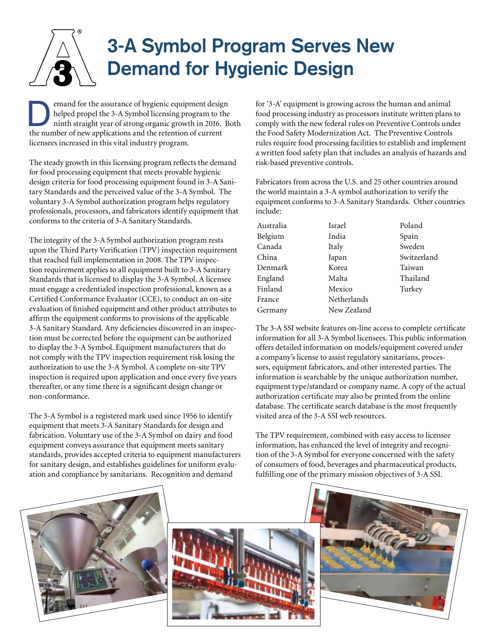# **3-A Symbol Program Serves New Demand for Hygienic Design**

emand for the assurance of hygienic equipment design<br>helped propel the 3-A Symbol licensing program to the<br>ninth straight year of strong organic growth in 2016. Both<br>the number of now emplications and the retartion of curr helped propel the 3-A Symbol licensing program to the the number of new applications and the retention of current licensees increased in this vital industry program.

The steady growth in this licensing program reflects the demand for food processing equipment that meets provable hygienic design criteria for food processing equipment found in 3-A Sanitary Standards and the perceived value of the 3-A Symbol. The voluntary 3-A Symbol authorization program helps regulatory professionals, processors, and fabricators identify equipment that conforms to the criteria of 3-A Sanitary Standards.

The integrity of the 3-A Symbol authorization program rests upon the Third Party Verification (TPV) inspection requirement that reached full implementation in 2008. The TPV inspection requirement applies to all equipment built to 3-A Sanitary Standards that is licensed to display the 3-A Symbol. A licensee must engage a credentialed inspection professional, known as a Certified Conformance Evaluator (CCE), to conduct an on-site evaluation of finished equipment and other product attributes to affirm the equipment conforms to provisions of the applicable 3-A Sanitary Standard. Any deficiencies discovered in an inspection must be corrected before the equipment can be authorized to display the 3-A Symbol. Equipment manufacturers that do not comply with the TPV inspection requirement risk losing the authorization to use the 3-A Symbol. A complete on-site TPV inspection is required upon application and once every five years thereafter, or any time there is a significant design change or non-conformance.

The 3-A Symbol is a registered mark used since 1956 to identify equipment that meets 3-A Sanitary Standards for design and fabrication. Voluntary use of the 3-A Symbol on dairy and food equipment conveys assurance that equipment meets sanitary standards, provides accepted criteria to equipment manufacturers for sanitary design, and establishes guidelines for uniform evaluation and compliance by sanitarians. Recognition and demand

for '3-A' equipment is growing across the human and animal food processing industry as processors institute written plans to comply with the new federal rules on Preventive Controls under the Food Safety Modernization Act. The Preventive Controls rules require food processing facilities to establish and implement a written food safety plan that includes an analysis of hazards and risk-based preventive controls.

Fabricators from across the U.S. and 25 other countries around the world maintain a 3-A symbol authorization to verify the equipment conforms to 3-A Sanitary Standards. Other countries include:

| Australia | Israel      |
|-----------|-------------|
| Belgium   | India       |
| Canada    | Italy       |
| China     | Japan       |
| Denmark   | Korea       |
| England   | Malta       |
| Finland   | Mexico      |
| France    | Netherlands |
| Germany   | New Zealand |
|           |             |

Poland Spain Sweden Switzerland Taiwan Thailand Turkey

The 3-A SSI website features on-line access to complete certificate information for all 3-A Symbol licensees. This public information offers detailed information on models/equipment covered under a company's license to assist regulatory sanitarians, processors, equipment fabricators, and other interested parties. The information is searchable by the unique authorization number, equipment type/standard or company name. A copy of the actual authorization certificate may also be printed from the online database. The certificate search database is the most frequently visited area of the 3-A SSI web resources.

The TPV requirement, combined with easy access to licensee information, has enhanced the level of integrity and recognition of the 3-A Symbol for everyone concerned with the safety of consumers of food, beverages and pharmaceutical products, fulfilling one of the primary mission objectives of 3-A SSI.





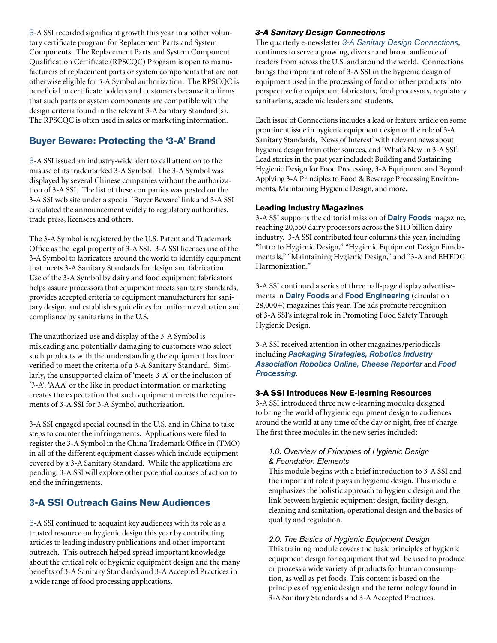3-A SSI recorded significant growth this year in another voluntary certificate program for Replacement Parts and System Components. The Replacement Parts and System Component Qualification Certificate (RPSCQC) Program is open to manufacturers of replacement parts or system components that are not otherwise eligible for 3-A Symbol authorization. The RPSCQC is beneficial to certificate holders and customers because it affirms that such parts or system components are compatible with the design criteria found in the relevant 3-A Sanitary Standard(s). The RPSCQC is often used in sales or marketing information.

# **Buyer Beware: Protecting the '3-A' Brand**

3-A SSI issued an industry-wide alert to call attention to the misuse of its trademarked 3-A Symbol. The 3-A Symbol was displayed by several Chinese companies without the authorization of 3-A SSI. The list of these companies was posted on the 3-A SSI web site under a special 'Buyer Beware' link and 3-A SSI circulated the announcement widely to regulatory authorities, trade press, licensees and others.

The 3-A Symbol is registered by the U.S. Patent and Trademark Office as the legal property of 3-A SSI. 3-A SSI licenses use of the 3-A Symbol to fabricators around the world to identify equipment that meets 3-A Sanitary Standards for design and fabrication. Use of the 3-A Symbol by dairy and food equipment fabricators helps assure processors that equipment meets sanitary standards, provides accepted criteria to equipment manufacturers for sanitary design, and establishes guidelines for uniform evaluation and compliance by sanitarians in the U.S.

The unauthorized use and display of the 3-A Symbol is misleading and potentially damaging to customers who select such products with the understanding the equipment has been verified to meet the criteria of a 3-A Sanitary Standard. Similarly, the unsupported claim of 'meets 3-A' or the inclusion of '3-A', 'AAA' or the like in product information or marketing creates the expectation that such equipment meets the requirements of 3-A SSI for 3-A Symbol authorization.

3-A SSI engaged special counsel in the U.S. and in China to take steps to counter the infringements. Applications were filed to register the 3-A Symbol in the China Trademark Office in (TMO) in all of the different equipment classes which include equipment covered by a 3-A Sanitary Standard. While the applications are pending, 3-A SSI will explore other potential courses of action to end the infringements.

# **3-A SSI Outreach Gains New Audiences**

3-A SSI continued to acquaint key audiences with its role as a trusted resource on hygienic design this year by contributing articles to leading industry publications and other important outreach. This outreach helped spread important knowledge about the critical role of hygienic equipment design and the many benefits of 3-A Sanitary Standards and 3-A Accepted Practices in a wide range of food processing applications.

#### *3-A Sanitary Design Connections*

The quarterly e-newsletter *3-A Sanitary Design Connections*, continues to serve a growing, diverse and broad audience of readers from across the U.S. and around the world. Connections brings the important role of 3-A SSI in the hygienic design of equipment used in the processing of food or other products into perspective for equipment fabricators, food processors, regulatory sanitarians, academic leaders and students.

Each issue of Connections includes a lead or feature article on some prominent issue in hygienic equipment design or the role of 3-A Sanitary Standards, 'News of Interest' with relevant news about hygienic design from other sources, and 'What's New In 3-A SSI'. Lead stories in the past year included: Building and Sustaining Hygienic Design for Food Processing, 3-A Equipment and Beyond: Applying 3-A Principles to Food & Beverage Processing Environments, Maintaining Hygienic Design, and more.

#### **Leading Industry Magazines**

3-A SSI supports the editorial mission of Dairy Foods magazine, reaching 20,550 dairy processors across the \$110 billion dairy industry. 3-A SSI contributed four columns this year, including "Intro to Hygienic Design," "Hygienic Equipment Design Fundamentals," "Maintaining Hygienic Design," and "3-A and EHEDG Harmonization."

3-A SSI continued a series of three half-page display advertisements in Dairy Foods and Food Engineering (circulation 28,000+) magazines this year. The ads promote recognition of 3-A SSI's integral role in Promoting Food Safety Through Hygienic Design.

3-A SSI received attention in other magazines/periodicals including *Packaging Strategies, Robotics Industry Association Robotics Online, Cheese Reporter* and *Food Processing*.

#### **3-A SSI Introduces New E-learning Resources**

3-A SSI introduced three new e-learning modules designed to bring the world of hygienic equipment design to audiences around the world at any time of the day or night, free of charge. The first three modules in the new series included:

#### *1.0. Overview of Principles of Hygienic Design & Foundation Elements*

This module begins with a brief introduction to 3-A SSI and the important role it plays in hygienic design. This module emphasizes the holistic approach to hygienic design and the link between hygienic equipment design, facility design, cleaning and sanitation, operational design and the basics of quality and regulation.

#### *2.0. The Basics of Hygienic Equipment Design*

This training module covers the basic principles of hygienic equipment design for equipment that will be used to produce or process a wide variety of products for human consumption, as well as pet foods. This content is based on the principles of hygienic design and the terminology found in 3-A Sanitary Standards and 3-A Accepted Practices.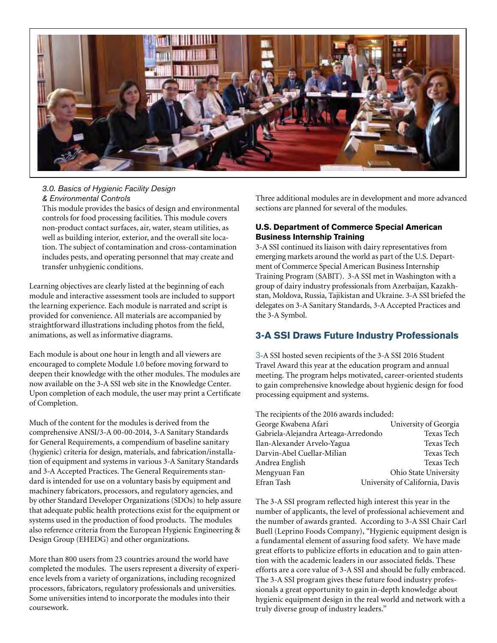

#### *3.0. Basics of Hygienic Facility Design & Environmental Controls*

This module provides the basics of design and environmental controls for food processing facilities. This module covers non-product contact surfaces, air, water, steam utilities, as well as building interior, exterior, and the overall site location. The subject of contamination and cross-contamination includes pests, and operating personnel that may create and transfer unhygienic conditions.

Learning objectives are clearly listed at the beginning of each module and interactive assessment tools are included to support the learning experience. Each module is narrated and script is provided for convenience. All materials are accompanied by straightforward illustrations including photos from the field, animations, as well as informative diagrams.

Each module is about one hour in length and all viewers are encouraged to complete Module 1.0 before moving forward to deepen their knowledge with the other modules. The modules are now available on the 3-A SSI web site in the Knowledge Center. Upon completion of each module, the user may print a Certificate of Completion.

Much of the content for the modules is derived from the comprehensive ANSI/3-A 00-00-2014, 3-A Sanitary Standards for General Requirements, a compendium of baseline sanitary (hygienic) criteria for design, materials, and fabrication/installation of equipment and systems in various 3-A Sanitary Standards and 3-A Accepted Practices. The General Requirements standard is intended for use on a voluntary basis by equipment and machinery fabricators, processors, and regulatory agencies, and by other Standard Developer Organizations (SDOs) to help assure that adequate public health protections exist for the equipment or systems used in the production of food products. The modules also reference criteria from the European Hygienic Engineering & Design Group (EHEDG) and other organizations.

More than 800 users from 23 countries around the world have completed the modules. The users represent a diversity of experience levels from a variety of organizations, including recognized processors, fabricators, regulatory professionals and universities. Some universities intend to incorporate the modules into their coursework.

Three additional modules are in development and more advanced sections are planned for several of the modules.

#### **U.S. Department of Commerce Special American Business Internship Training**

3-A SSI continued its liaison with dairy representatives from emerging markets around the world as part of the U.S. Department of Commerce Special American Business Internship Training Program (SABIT). 3-A SSI met in Washington with a group of dairy industry professionals from Azerbaijan, Kazakhstan, Moldova, Russia, Tajikistan and Ukraine. 3-A SSI briefed the delegates on 3-A Sanitary Standards, 3-A Accepted Practices and the 3-A Symbol.

### **3-A SSI Draws Future Industry Professionals**

3-A SSI hosted seven recipients of the 3-A SSI 2016 Student Travel Award this year at the education program and annual meeting. The program helps motivated, career-oriented students to gain comprehensive knowledge about hygienic design for food processing equipment and systems.

| The recipients of the 2016 awards included: |                                 |  |
|---------------------------------------------|---------------------------------|--|
| George Kwabena Afari                        | University of Georgia           |  |
| Gabriela-Alejandra Arteaga-Arredondo        | Texas Tech                      |  |
| Ilan-Alexander Arvelo-Yagua                 | Texas Tech                      |  |
| Darvin-Abel Cuellar-Milian                  | Texas Tech                      |  |
| Andrea English                              | Texas Tech                      |  |
| Mengyuan Fan                                | Ohio State University           |  |
| Efran Tash                                  | University of California, Davis |  |
|                                             |                                 |  |

The 3-A SSI program reflected high interest this year in the number of applicants, the level of professional achievement and the number of awards granted. According to 3-A SSI Chair Carl Buell (Leprino Foods Company), "Hygienic equipment design is a fundamental element of assuring food safety. We have made great efforts to publicize efforts in education and to gain attention with the academic leaders in our associated fields. These efforts are a core value of 3-A SSI and should be fully embraced. The 3-A SSI program gives these future food industry professionals a great opportunity to gain in-depth knowledge about hygienic equipment design in the real world and network with a truly diverse group of industry leaders."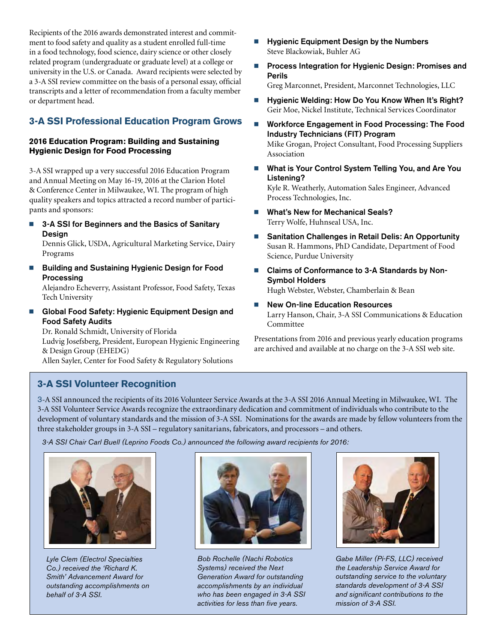Recipients of the 2016 awards demonstrated interest and commitment to food safety and quality as a student enrolled full-time in a food technology, food science, dairy science or other closely related program (undergraduate or graduate level) at a college or university in the U.S. or Canada. Award recipients were selected by a 3-A SSI review committee on the basis of a personal essay, official transcripts and a letter of recommendation from a faculty member or department head.

# **3-A SSI Professional Education Program Grows**

#### **2016 Education Program: Building and Sustaining Hygienic Design for Food Processing**

3-A SSI wrapped up a very successful 2016 Education Program and Annual Meeting on May 16-19, 2016 at the Clarion Hotel & Conference Center in Milwaukee, WI. The program of high quality speakers and topics attracted a record number of participants and sponsors:

■ 3-A SSI for Beginners and the Basics of Sanitary Design

Dennis Glick, USDA, Agricultural Marketing Service, Dairy Programs

Building and Sustaining Hygienic Design for Food Processing

Alejandro Echeverry, Assistant Professor, Food Safety, Texas Tech University

**n** Global Food Safety: Hygienic Equipment Design and Food Safety Audits

Dr. Ronald Schmidt, University of Florida Ludvig Josefsberg, President, European Hygienic Engineering & Design Group (EHEDG)

Allen Sayler, Center for Food Safety & Regulatory Solutions

- $\blacksquare$  Hygienic Equipment Design by the Numbers Steve Blackowiak, Buhler AG
- Process Integration for Hygienic Design: Promises and Perils

Greg Marconnet, President, Marconnet Technologies, LLC

- Hygienic Welding: How Do You Know When It's Right? Geir Moe, Nickel Institute, Technical Services Coordinator
- Workforce Engagement in Food Processing: The Food Industry Technicians (FIT) Program Mike Grogan, Project Consultant, Food Processing Suppliers

Association

■ What is Your Control System Telling You, and Are You Listening?

Kyle R. Weatherly, Automation Sales Engineer, Advanced Process Technologies, Inc.

- What's New for Mechanical Seals? Terry Wolfe, Huhnseal USA, Inc.
- Sanitation Challenges in Retail Delis: An Opportunity Susan R. Hammons, PhD Candidate, Department of Food Science, Purdue University
- Claims of Conformance to 3-A Standards by Non-Symbol Holders

Hugh Webster, Webster, Chamberlain & Bean

**New On-line Education Resources** Larry Hanson, Chair, 3-A SSI Communications & Education Committee

Presentations from 2016 and previous yearly education programs are archived and available at no charge on the 3-A SSI web site.

# **3-A SSI Volunteer Recognition**

3-A SSI announced the recipients of its 2016 Volunteer Service Awards at the 3-A SSI 2016 Annual Meeting in Milwaukee, WI. The 3-A SSI Volunteer Service Awards recognize the extraordinary dedication and commitment of individuals who contribute to the development of voluntary standards and the mission of 3-A SSI. Nominations for the awards are made by fellow volunteers from the three stakeholder groups in 3-A SSI – regulatory sanitarians, fabricators, and processors – and others.

*3-A SSI Chair Carl Buell (Leprino Foods Co.) announced the following award recipients for 2016:*



*Lyle Clem (Electrol Specialties Co.) received the 'Richard K. Smith' Advancement Award for outstanding accomplishments on behalf of 3-A SSI.*



*Bob Rochelle (Nachi Robotics Systems) received the Next Generation Award for outstanding accomplishments by an individual who has been engaged in 3-A SSI activities for less than five years.* 



*Gabe Miller (Pi-FS, LLC) received the Leadership Service Award for outstanding service to the voluntary standards development of 3-A SSI and significant contributions to the mission of 3-A SSI.*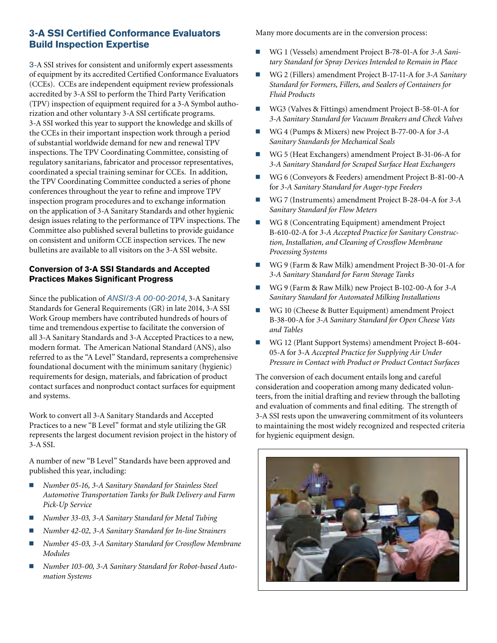# **3-A SSI Certified Conformance Evaluators Build Inspection Expertise**

3-A SSI strives for consistent and uniformly expert assessments of equipment by its accredited Certified Conformance Evaluators (CCEs). CCEs are independent equipment review professionals accredited by 3-A SSI to perform the Third Party Verification (TPV) inspection of equipment required for a 3-A Symbol authorization and other voluntary 3-A SSI certificate programs. 3-A SSI worked this year to support the knowledge and skills of the CCEs in their important inspection work through a period of substantial worldwide demand for new and renewal TPV inspections. The TPV Coordinating Committee, consisting of regulatory sanitarians, fabricator and processor representatives, coordinated a special training seminar for CCEs. In addition, the TPV Coordinating Committee conducted a series of phone conferences throughout the year to refine and improve TPV inspection program procedures and to exchange information on the application of 3-A Sanitary Standards and other hygienic design issues relating to the performance of TPV inspections. The Committee also published several bulletins to provide guidance on consistent and uniform CCE inspection services. The new bulletins are available to all visitors on the 3-A SSI website.

#### **Conversion of 3-A SSI Standards and Accepted Practices Makes Significant Progress**

Since the publication of *ANSI/3-A 00-00-2014*, 3-A Sanitary Standards for General Requirements (GR) in late 2014, 3-A SSI Work Group members have contributed hundreds of hours of time and tremendous expertise to facilitate the conversion of all 3-A Sanitary Standards and 3-A Accepted Practices to a new, modern format. The American National Standard (ANS), also referred to as the "A Level" Standard, represents a comprehensive foundational document with the minimum sanitary (hygienic) requirements for design, materials, and fabrication of product contact surfaces and nonproduct contact surfaces for equipment and systems.

Work to convert all 3-A Sanitary Standards and Accepted Practices to a new "B Level" format and style utilizing the GR represents the largest document revision project in the history of 3-A SSI.

A number of new "B Level" Standards have been approved and published this year, including:

- *Number 05-16, 3-A Sanitary Standard for Stainless Steel Automotive Transportation Tanks for Bulk Delivery and Farm Pick-Up Service*
- *Number 33-03, 3-A Sanitary Standard for Metal Tubing*
- n *Number 42-02, 3-A Sanitary Standard for In-line Strainers*
- *Number 45-03, 3-A Sanitary Standard for Crossflow Membrane Modules*
- n *Number 103-00, 3-A Sanitary Standard for Robot-based Automation Systems*

Many more documents are in the conversion process:

- WG 1 (Vessels) amendment Project B-78-01-A for 3-A Sani*tary Standard for Spray Devices Intended to Remain in Place*
- WG 2 (Fillers) amendment Project B-17-11-A for 3-A Sanitary *Standard for Formers, Fillers, and Sealers of Containers for Fluid Products*
- WG3 (Valves & Fittings) amendment Project B-58-01-A for *3-A Sanitary Standard for Vacuum Breakers and Check Valves*
- WG 4 (Pumps & Mixers) new Project B-77-00-A for 3-A *Sanitary Standards for Mechanical Seals*
- WG 5 (Heat Exchangers) amendment Project B-31-06-A for *3-A Sanitary Standard for Scraped Surface Heat Exchangers*
- WG 6 (Conveyors & Feeders) amendment Project B-81-00-A for *3-A Sanitary Standard for Auger-type Feeders*
- WG 7 (Instruments) amendment Project B-28-04-A for 3-A *Sanitary Standard for Flow Meters*
- WG 8 (Concentrating Equipment) amendment Project B-610-02-A for *3-A Accepted Practice for Sanitary Construction, Installation, and Cleaning of Crossflow Membrane Processing Systems*
- WG 9 (Farm & Raw Milk) amendment Project B-30-01-A for *3-A Sanitary Standard for Farm Storage Tanks*
- WG 9 (Farm & Raw Milk) new Project B-102-00-A for 3-A *Sanitary Standard for Automated Milking Installations*
- WG 10 (Cheese & Butter Equipment) amendment Project B-38-00-A for *3-A Sanitary Standard for Open Cheese Vats and Tables*
- n WG 12 (Plant Support Systems) amendment Project B-604- 05-A for 3-A *Accepted Practice for Supplying Air Under Pressure in Contact with Product or Product Contact Surfaces*

The conversion of each document entails long and careful consideration and cooperation among many dedicated volunteers, from the initial drafting and review through the balloting and evaluation of comments and final editing. The strength of 3-A SSI rests upon the unwavering commitment of its volunteers to maintaining the most widely recognized and respected criteria for hygienic equipment design.